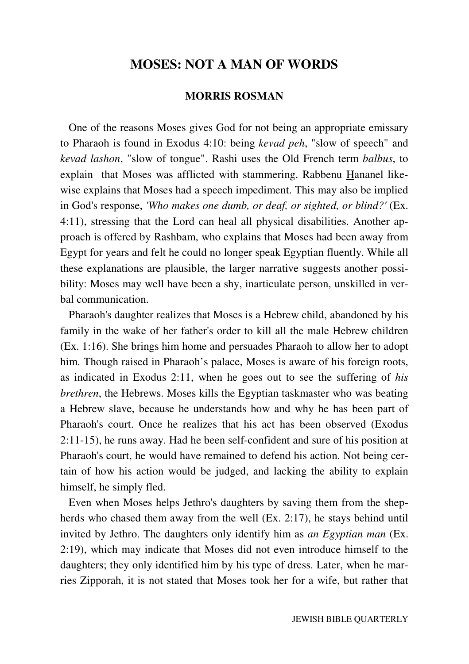## **MOSES: NOT A MAN OF WORDS**

### **MORRIS ROSMAN**

 One of the reasons Moses gives God for not being an appropriate emissary to Pharaoh is found in Exodus 4:10: being *kevad peh*, "slow of speech" and *kevad lashon*, "slow of tongue". Rashi uses the Old French term *balbus*, to explain that Moses was afflicted with stammering. Rabbenu Hananel likewise explains that Moses had a speech impediment. This may also be implied in God's response, *'Who makes one dumb, or deaf, or sighted, or blind?'* (Ex. 4:11), stressing that the Lord can heal all physical disabilities. Another approach is offered by Rashbam, who explains that Moses had been away from Egypt for years and felt he could no longer speak Egyptian fluently. While all these explanations are plausible, the larger narrative suggests another possibility: Moses may well have been a shy, inarticulate person, unskilled in verbal communication.

 Pharaoh's daughter realizes that Moses is a Hebrew child, abandoned by his family in the wake of her father's order to kill all the male Hebrew children (Ex. 1:16). She brings him home and persuades Pharaoh to allow her to adopt him. Though raised in Pharaoh's palace, Moses is aware of his foreign roots, as indicated in Exodus 2:11, when he goes out to see the suffering of *his brethren*, the Hebrews. Moses kills the Egyptian taskmaster who was beating a Hebrew slave, because he understands how and why he has been part of Pharaoh's court. Once he realizes that his act has been observed (Exodus 2:11-15), he runs away. Had he been self-confident and sure of his position at Pharaoh's court, he would have remained to defend his action. Not being certain of how his action would be judged, and lacking the ability to explain himself, he simply fled.

 Even when Moses helps Jethro's daughters by saving them from the shepherds who chased them away from the well (Ex. 2:17), he stays behind until invited by Jethro. The daughters only identify him as *an Egyptian man* (Ex. 2:19), which may indicate that Moses did not even introduce himself to the daughters; they only identified him by his type of dress. Later, when he marries Zipporah, it is not stated that Moses took her for a wife, but rather that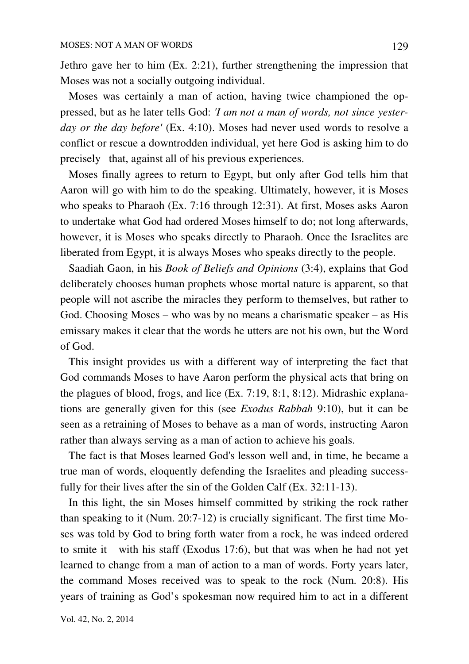Jethro gave her to him (Ex. 2:21), further strengthening the impression that Moses was not a socially outgoing individual.

 Moses was certainly a man of action, having twice championed the oppressed, but as he later tells God: *'I am not a man of words, not since yesterday or the day before'* (Ex. 4:10). Moses had never used words to resolve a conflict or rescue a downtrodden individual, yet here God is asking him to do precisely that, against all of his previous experiences.

 Moses finally agrees to return to Egypt, but only after God tells him that Aaron will go with him to do the speaking. Ultimately, however, it is Moses who speaks to Pharaoh (Ex. 7:16 through 12:31). At first, Moses asks Aaron to undertake what God had ordered Moses himself to do; not long afterwards, however, it is Moses who speaks directly to Pharaoh. Once the Israelites are liberated from Egypt, it is always Moses who speaks directly to the people.

 Saadiah Gaon, in his *Book of Beliefs and Opinions* (3:4), explains that God deliberately chooses human prophets whose mortal nature is apparent, so that people will not ascribe the miracles they perform to themselves, but rather to God. Choosing Moses – who was by no means a charismatic speaker – as His emissary makes it clear that the words he utters are not his own, but the Word of God.

 This insight provides us with a different way of interpreting the fact that God commands Moses to have Aaron perform the physical acts that bring on the plagues of blood, frogs, and lice (Ex. 7:19, 8:1, 8:12). Midrashic explanations are generally given for this (see *Exodus Rabbah* 9:10), but it can be seen as a retraining of Moses to behave as a man of words, instructing Aaron rather than always serving as a man of action to achieve his goals.

 The fact is that Moses learned God's lesson well and, in time, he became a true man of words, eloquently defending the Israelites and pleading successfully for their lives after the sin of the Golden Calf (Ex. 32:11-13).

 In this light, the sin Moses himself committed by striking the rock rather than speaking to it (Num. 20:7-12) is crucially significant. The first time Moses was told by God to bring forth water from a rock, he was indeed ordered to smite it with his staff (Exodus 17:6), but that was when he had not yet learned to change from a man of action to a man of words. Forty years later, the command Moses received was to speak to the rock (Num. 20:8). His years of training as God's spokesman now required him to act in a different